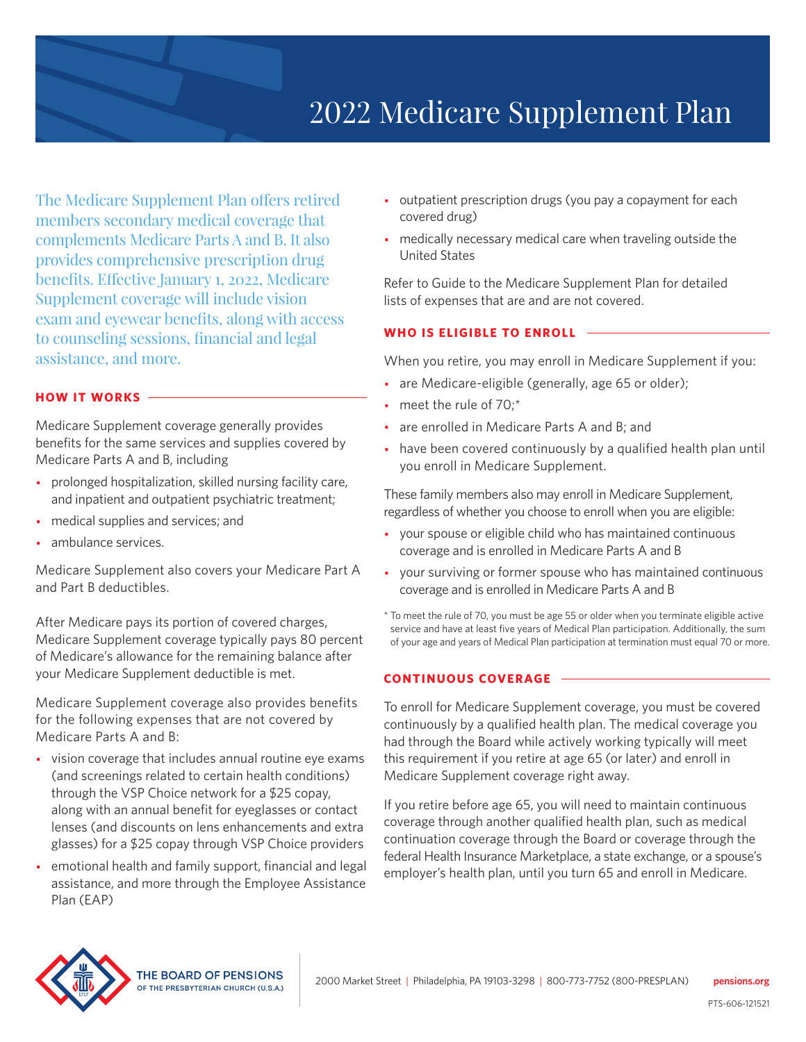

The Medicare Supplement Plan offers retired members secondary medical coverage that complements Medicare Parts A and B. It also provides comprehensive prescription drug benefits. Effective January 1, 2022, Medicare Supplement coverage will include vision exam and eyewear benefits, along with access to counseling sessions, financial and legal assistance, and more.

# **HOW IT WORKS**

Medicare Supplement coverage generally provides benefits for the same services and supplies covered by Medicare Parts A and B, including

- prolonged hospitalization, skilled nursing facility care, and inpatient and outpatient psychiatric treatment;
- medical supplies and services; and
- ambulance services.

Medicare Supplement also covers your Medicare Part A and Part B deductibles.

After Medicare pays its portion of covered charges, Medicare Supplement coverage typically pays 80 percent of Medicare's allowance for the remaining balance after your Medicare Supplement deductible is met.

Medicare Supplement coverage also provides benefits for the following expenses that are not covered by Medicare Parts A and B:

- vision coverage that includes annual routine eye exams (and screenings related to certain health conditions) through the VSP Choice network for a \$25 copay, along with an annual benefit for eyeglasses or contact lenses (and discounts on lens enhancements and extra glasses) for a \$25 copay through VSP Choice providers
- emotional health and family support, financial and legal assistance, and more through the Employee Assistance Plan (EAP)
- outpatient prescription drugs (you pay a copayment for each covered drug)
- medically necessary medical care when traveling outside the United States

Refer to Guide to the Medicare Supplement Plan for detailed lists of expenses that are and are not covered.

# **WHO IS ELIGIBLE TO ENROLL**

When you retire, you may enroll in Medicare Supplement if you:

- are Medicare-eligible (generally, age 65 or older);
- meet the rule of 70;\*
- are enrolled in Medicare Parts A and B; and
- have been covered continuously by a qualified health plan until you enroll in Medicare Supplement.

These family members also may enroll in Medicare Supplement, regardless of whether you choose to enroll when you are eligible:

- your spouse or eligible child who has maintained continuous coverage and is enrolled in Medicare Parts A and B
- your surviving or former spouse who has maintained continuous coverage and is enrolled in Medicare Parts A and B
- \* To meet the rule of 70, you must be age 55 or older when you terminate eligible active service and have at least five years of Medical Plan participation. Additionally, the sum of your age and years of Medical Plan participation at termination must equal 70 or more.

### **CONTINUOUS COVERAGE**

To enroll for Medicare Supplement coverage, you must be covered continuously by a qualified health plan. The medical coverage you had through the Board while actively working typically will meet this requirement if you retire at age 65 (or later) and enroll in Medicare Supplement coverage right away.

If you retire before age 65, you will need to maintain continuous coverage through another qualified health plan, such as medical continuation coverage through the Board or coverage through the federal Health Insurance Marketplace, a state exchange, or a spouse's employer's health plan, until you turn 65 and enroll in Medicare.